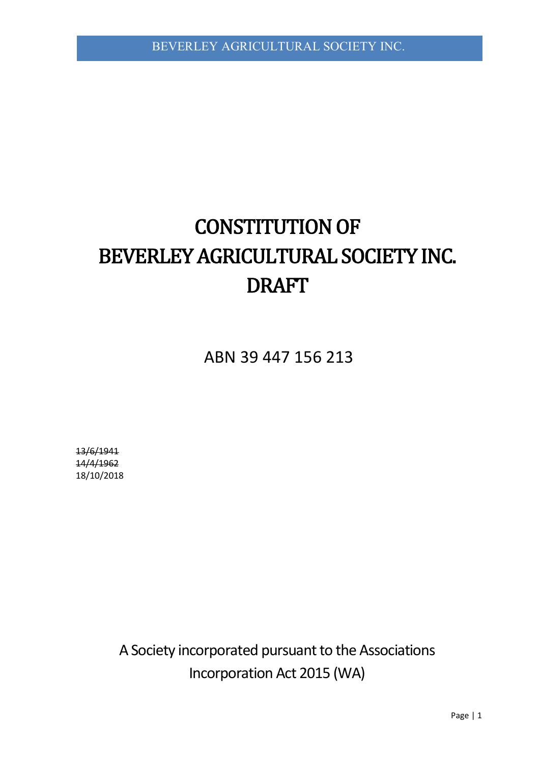# **CONSTITUTION OF** BEVERLEY AGRICULTURAL SOCIETY INC. DRAFT

ABN 39 447 156 213

13/6/1941 14/4/1962 18/10/2018

> A Society incorporated pursuant to the Associations Incorporation Act 2015 (WA)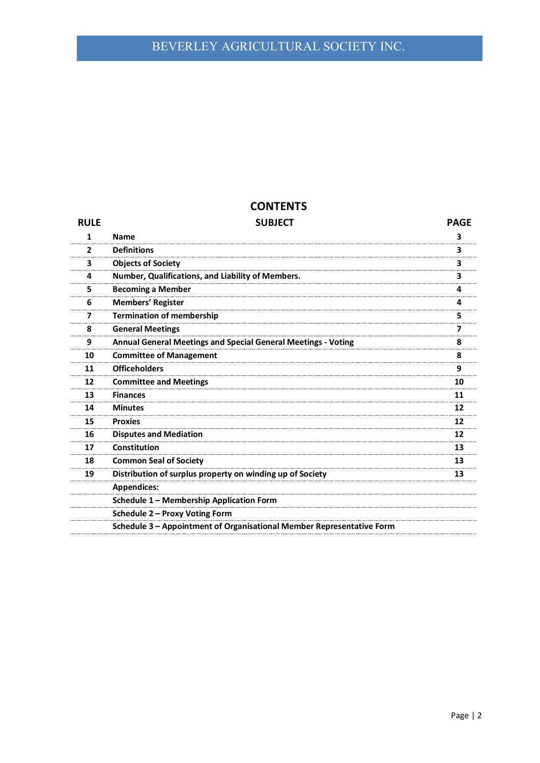# **CONTENTS**

| <b>RULE</b>  | <b>SUBJECT</b>                                                        | <b>PAGE</b> |
|--------------|-----------------------------------------------------------------------|-------------|
| 1            | <b>Name</b>                                                           | 3           |
| $\mathbf{2}$ | <b>Definitions</b>                                                    | 3           |
| з            | <b>Objects of Society</b>                                             | 3           |
| 4            | Number, Qualifications, and Liability of Members.                     | 3           |
| 5            | <b>Becoming a Member</b>                                              | 4           |
| 6            | <b>Members' Register</b>                                              | 4           |
| 7            | <b>Termination of membership</b>                                      | 5           |
| 8            | <b>General Meetings</b>                                               | 7           |
| 9            | <b>Annual General Meetings and Special General Meetings - Voting</b>  | 8           |
| 10           | <b>Committee of Management</b>                                        | 8           |
| 11           | <b>Officeholders</b>                                                  | 9           |
| 12           | <b>Committee and Meetings</b>                                         | 10          |
| 13           | <b>Finances</b>                                                       | 11          |
| 14           | <b>Minutes</b>                                                        | 12          |
| 15           | <b>Proxies</b>                                                        | 12          |
| 16           | <b>Disputes and Mediation</b>                                         | 12          |
| 17           | <b>Constitution</b>                                                   | 13          |
| 18           | <b>Common Seal of Society</b>                                         | 13          |
| 19           | Distribution of surplus property on winding up of Society             | 13          |
|              | <b>Appendices:</b>                                                    |             |
|              | Schedule 1 - Membership Application Form                              |             |
|              | Schedule 2 - Proxy Voting Form                                        |             |
|              | Schedule 3 - Appointment of Organisational Member Representative Form |             |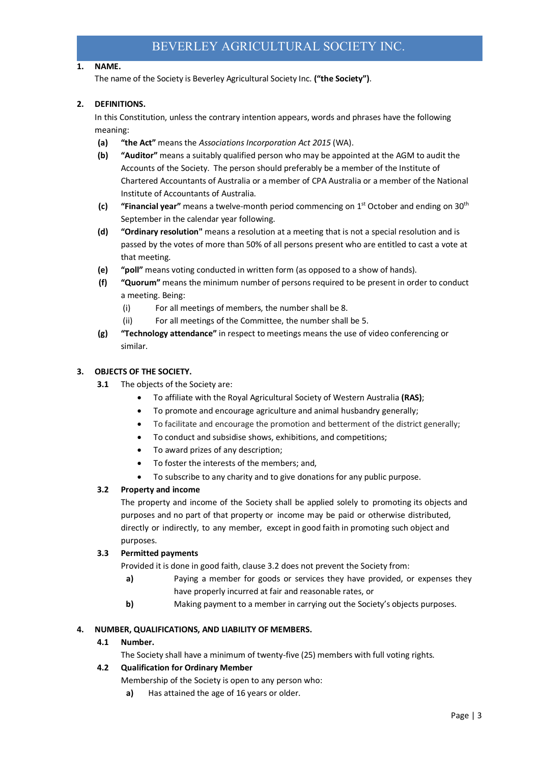# **1. NAME.**

The name of the Society is Beverley Agricultural Society Inc. **("the Society")**.

# **2. DEFINITIONS.**

In this Constitution, unless the contrary intention appears, words and phrases have the following meaning:

- **(a) "the Act"** means the *Associations Incorporation Act 2015* (WA).
- **(b) "Auditor"** means a suitably qualified person who may be appointed at the AGM to audit the Accounts of the Society. The person should preferably be a member of the Institute of Chartered Accountants of Australia or a member of CPA Australia or a member of the National Institute of Accountants of Australia.
- **(c) "Financial year"** means a twelve-month period commencing on 1st October and ending on 30th September in the calendar year following.
- **(d) "Ordinary resolution"** means a resolution at a meeting that is not a special resolution and is passed by the votes of more than 50% of all persons present who are entitled to cast a vote at that meeting.
- **(e) "poll"** means voting conducted in written form (as opposed to a show of hands).
- **(f) "Quorum"** means the minimum number of persons required to be present in order to conduct a meeting. Being:
	- (i) For all meetings of members, the number shall be 8.
	- (ii) For all meetings of the Committee, the number shall be 5.
- **(g) "Technology attendance"** in respect to meetings means the use of video conferencing or similar.

#### **3. OBJECTS OF THE SOCIETY.**

- **3.1** The objects of the Society are:
	- To affiliate with the Royal Agricultural Society of Western Australia **(RAS)**;
	- To promote and encourage agriculture and animal husbandry generally;
	- To facilitate and encourage the promotion and betterment of the district generally;
	- To conduct and subsidise shows, exhibitions, and competitions;
	- To award prizes of any description;
	- To foster the interests of the members; and,
	- To subscribe to any charity and to give donations for any public purpose.

# **3.2 Property and income**

The property and income of the Society shall be applied solely to promoting its objects and purposes and no part of that property or income may be paid or otherwise distributed, directly or indirectly, to any member, except in good faith in promoting such object and purposes.

# **3.3 Permitted payments**

Provided it is done in good faith, clause 3.2 does not prevent the Society from:

- **a)** Paying a member for goods or services they have provided, or expenses they have properly incurred at fair and reasonable rates, or
- **b)** Making payment to a member in carrying out the Society's objects purposes.

#### **4. NUMBER, QUALIFICATIONS, AND LIABILITY OF MEMBERS.**

**4.1 Number.**

The Society shall have a minimum of twenty-five (25) members with full voting rights.

# **4.2 Qualification for Ordinary Member**

- Membership of the Society is open to any person who:
	- **a)** Has attained the age of 16 years or older.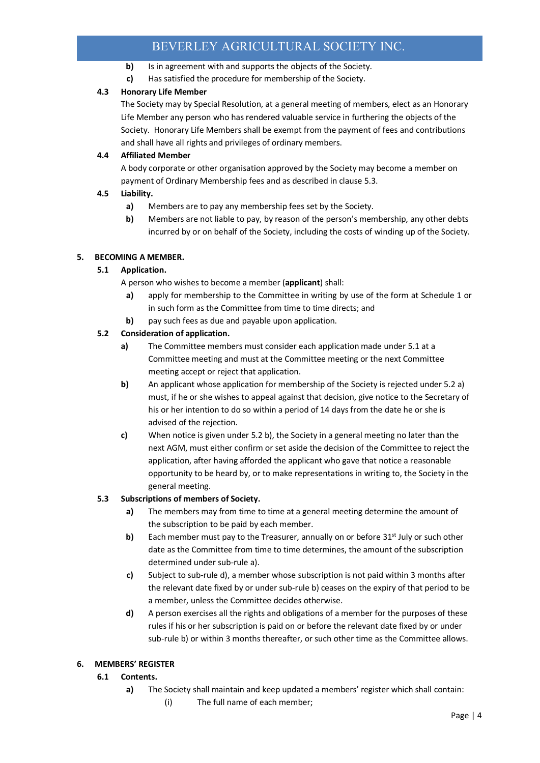- **b)** Is in agreement with and supports the objects of the Society.
- **c)** Has satisfied the procedure for membership of the Society.

# **4.3 Honorary Life Member**

The Society may by Special Resolution, at a general meeting of members, elect as an Honorary Life Member any person who has rendered valuable service in furthering the objects of the Society. Honorary Life Members shall be exempt from the payment of fees and contributions and shall have all rights and privileges of ordinary members.

# **4.4 Affiliated Member**

A body corporate or other organisation approved by the Society may become a member on payment of Ordinary Membership fees and as described in clause 5.3.

# **4.5 Liability.**

- **a)** Members are to pay any membership fees set by the Society.
- **b)** Members are not liable to pay, by reason of the person's membership, any other debts incurred by or on behalf of the Society, including the costs of winding up of the Society.

# **5. BECOMING A MEMBER.**

# **5.1 Application.**

- A person who wishes to become a member (**applicant**) shall:
- **a)** apply for membership to the Committee in writing by use of the form at Schedule 1 or in such form as the Committee from time to time directs; and
- **b)** pay such fees as due and payable upon application.

# **5.2 Consideration of application.**

- **a)** The Committee members must consider each application made under 5.1 at a Committee meeting and must at the Committee meeting or the next Committee meeting accept or reject that application.
- **b)** An applicant whose application for membership of the Society is rejected under 5.2 a) must, if he or she wishes to appeal against that decision, give notice to the Secretary of his or her intention to do so within a period of 14 days from the date he or she is advised of the rejection.
- **c)** When notice is given under 5.2 b), the Society in a general meeting no later than the next AGM, must either confirm or set aside the decision of the Committee to reject the application, after having afforded the applicant who gave that notice a reasonable opportunity to be heard by, or to make representations in writing to, the Society in the general meeting.

# **5.3 Subscriptions of members of Society.**

- **a)** The members may from time to time at a general meeting determine the amount of the subscription to be paid by each member.
- **b)** Each member must pay to the Treasurer, annually on or before 31<sup>st</sup> July or such other date as the Committee from time to time determines, the amount of the subscription determined under sub-rule a).
- **c)** Subject to sub-rule d), a member whose subscription is not paid within 3 months after the relevant date fixed by or under sub-rule b) ceases on the expiry of that period to be a member, unless the Committee decides otherwise.
- **d)** A person exercises all the rights and obligations of a member for the purposes of these rules if his or her subscription is paid on or before the relevant date fixed by or under sub-rule b) or within 3 months thereafter, or such other time as the Committee allows.

# **6. MEMBERS' REGISTER**

# **6.1 Contents.**

- **a)** The Society shall maintain and keep updated a members' register which shall contain:
	- (i) The full name of each member;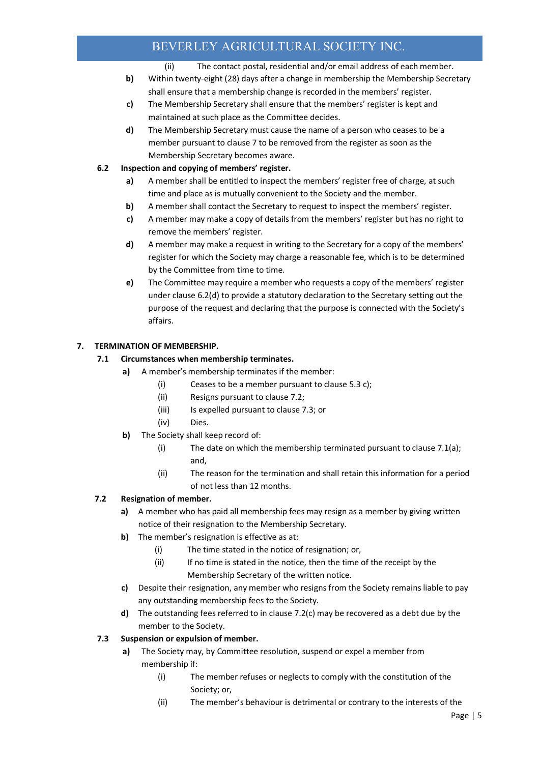- (ii) The contact postal, residential and/or email address of each member.
- **b)** Within twenty-eight (28) days after a change in membership the Membership Secretary shall ensure that a membership change is recorded in the members' register.
- **c)** The Membership Secretary shall ensure that the members' register is kept and maintained at such place as the Committee decides.
- **d)** The Membership Secretary must cause the name of a person who ceases to be a member pursuant to clause 7 to be removed from the register as soon as the Membership Secretary becomes aware.

# **6.2 Inspection and copying of members' register.**

- **a)** A member shall be entitled to inspect the members' register free of charge, at such time and place as is mutually convenient to the Society and the member.
- **b)** A member shall contact the Secretary to request to inspect the members' register.
- **c)** A member may make a copy of details from the members' register but has no right to remove the members' register.
- **d)** A member may make a request in writing to the Secretary for a copy of the members' register for which the Society may charge a reasonable fee, which is to be determined by the Committee from time to time.
- **e)** The Committee may require a member who requests a copy of the members' register under clause 6.2(d) to provide a statutory declaration to the Secretary setting out the purpose of the request and declaring that the purpose is connected with the Society's affairs.

# **7. TERMINATION OF MEMBERSHIP.**

# **7.1 Circumstances when membership terminates.**

- **a)** A member's membership terminates if the member:
	- (i) Ceases to be a member pursuant to clause 5.3 c);
	- (ii) Resigns pursuant to clause 7.2;
	- (iii) Is expelled pursuant to clause 7.3; or
	- (iv) Dies.
- **b)** The Society shall keep record of:
	- (i) The date on which the membership terminated pursuant to clause 7.1(a); and,
	- (ii) The reason for the termination and shall retain this information for a period of not less than 12 months.

# **7.2 Resignation of member.**

- **a)** A member who has paid all membership fees may resign as a member by giving written notice of their resignation to the Membership Secretary.
- **b)** The member's resignation is effective as at:
	- (i) The time stated in the notice of resignation; or,
	- (ii) If no time is stated in the notice, then the time of the receipt by the Membership Secretary of the written notice.
- **c)** Despite their resignation, any member who resigns from the Society remains liable to pay any outstanding membership fees to the Society.
- **d)** The outstanding fees referred to in clause 7.2(c) may be recovered as a debt due by the member to the Society.

# **7.3 Suspension or expulsion of member.**

- **a)** The Society may, by Committee resolution, suspend or expel a member from membership if:
	- (i) The member refuses or neglects to comply with the constitution of the Society; or,
	- (ii) The member's behaviour is detrimental or contrary to the interests of the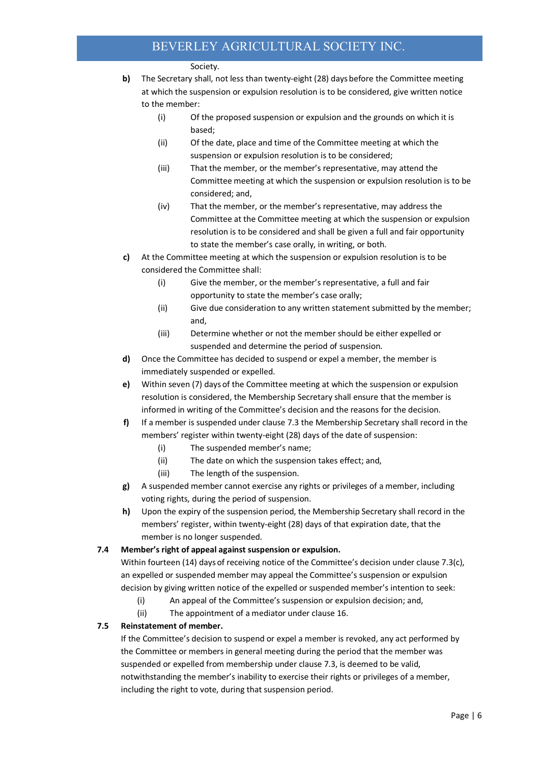#### Society.

- **b)** The Secretary shall, not less than twenty-eight (28) days before the Committee meeting at which the suspension or expulsion resolution is to be considered, give written notice to the member:
	- (i) Of the proposed suspension or expulsion and the grounds on which it is based;
	- (ii) Of the date, place and time of the Committee meeting at which the suspension or expulsion resolution is to be considered;
	- (iii) That the member, or the member's representative, may attend the Committee meeting at which the suspension or expulsion resolution is to be considered; and,
	- (iv) That the member, or the member's representative, may address the Committee at the Committee meeting at which the suspension or expulsion resolution is to be considered and shall be given a full and fair opportunity to state the member's case orally, in writing, or both.
- **c)** At the Committee meeting at which the suspension or expulsion resolution is to be considered the Committee shall:
	- (i) Give the member, or the member's representative, a full and fair opportunity to state the member's case orally;
	- (ii) Give due consideration to any written statement submitted by the member; and,
	- (iii) Determine whether or not the member should be either expelled or suspended and determine the period of suspension.
- **d)** Once the Committee has decided to suspend or expel a member, the member is immediately suspended or expelled.
- **e)** Within seven (7) days of the Committee meeting at which the suspension or expulsion resolution is considered, the Membership Secretary shall ensure that the member is informed in writing of the Committee's decision and the reasons for the decision.
- **f)** If a member is suspended under clause 7.3 the Membership Secretary shall record in the members' register within twenty-eight (28) days of the date of suspension:
	- (i) The suspended member's name;
	- (ii) The date on which the suspension takes effect; and,
	- (iii) The length of the suspension.
- **g)** A suspended member cannot exercise any rights or privileges of a member, including voting rights, during the period of suspension.
- **h)** Upon the expiry of the suspension period, the Membership Secretary shall record in the members' register, within twenty-eight (28) days of that expiration date, that the member is no longer suspended.

# **7.4 Member's right of appeal against suspension or expulsion.**

Within fourteen (14) days of receiving notice of the Committee's decision under clause 7.3(c), an expelled or suspended member may appeal the Committee's suspension or expulsion decision by giving written notice of the expelled or suspended member's intention to seek:

- (i) An appeal of the Committee's suspension or expulsion decision; and,
- (ii) The appointment of a mediator under clause 16.

# **7.5 Reinstatement of member.**

If the Committee's decision to suspend or expel a member is revoked, any act performed by the Committee or members in general meeting during the period that the member was suspended or expelled from membership under clause 7.3, is deemed to be valid, notwithstanding the member's inability to exercise their rights or privileges of a member, including the right to vote, during that suspension period.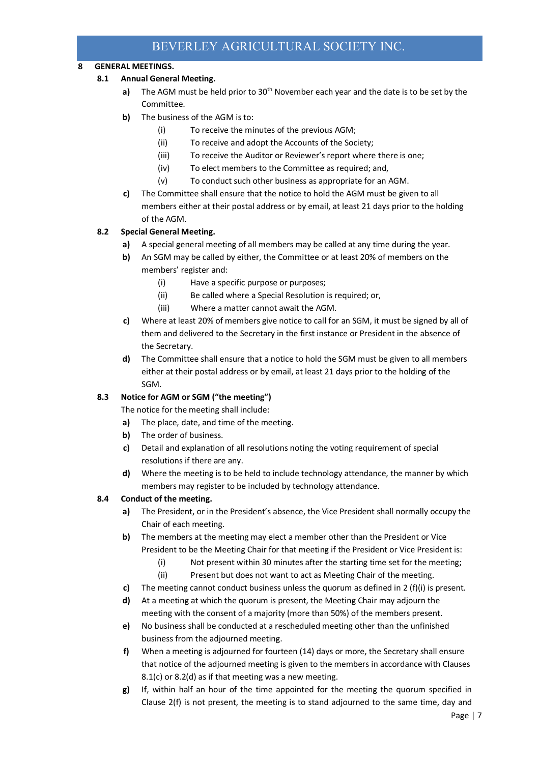# **8 GENERAL MEETINGS.**

# **8.1 Annual General Meeting.**

- **a)** The AGM must be held prior to 30<sup>th</sup> November each year and the date is to be set by the Committee.
- **b)** The business of the AGM is to:
	- (i) To receive the minutes of the previous AGM;
	- (ii) To receive and adopt the Accounts of the Society;
	- (iii) To receive the Auditor or Reviewer's report where there is one;
	- (iv) To elect members to the Committee as required; and,
	- (v) To conduct such other business as appropriate for an AGM.
- **c)** The Committee shall ensure that the notice to hold the AGM must be given to all members either at their postal address or by email, at least 21 days prior to the holding of the AGM.

# **8.2 Special General Meeting.**

- **a)** A special general meeting of all members may be called at any time during the year.
- **b)** An SGM may be called by either, the Committee or at least 20% of members on the members' register and:
	- (i) Have a specific purpose or purposes;
	- (ii) Be called where a Special Resolution is required; or,
	- (iii) Where a matter cannot await the AGM.
- **c)** Where at least 20% of members give notice to call for an SGM, it must be signed by all of them and delivered to the Secretary in the first instance or President in the absence of the Secretary.
- **d)** The Committee shall ensure that a notice to hold the SGM must be given to all members either at their postal address or by email, at least 21 days prior to the holding of the SGM.

# **8.3 Notice for AGM or SGM ("the meeting")**

- The notice for the meeting shall include:
- **a)** The place, date, and time of the meeting.
- **b)** The order of business.
- **c)** Detail and explanation of all resolutions noting the voting requirement of special resolutions if there are any.
- **d)** Where the meeting is to be held to include technology attendance, the manner by which members may register to be included by technology attendance.

# **8.4 Conduct of the meeting.**

- **a)** The President, or in the President's absence, the Vice President shall normally occupy the Chair of each meeting.
- **b)** The members at the meeting may elect a member other than the President or Vice President to be the Meeting Chair for that meeting if the President or Vice President is:
	- (i) Not present within 30 minutes after the starting time set for the meeting;
	- (ii) Present but does not want to act as Meeting Chair of the meeting.
- **c)** The meeting cannot conduct business unless the quorum as defined in 2 (f)(i) is present.
- **d)** At a meeting at which the quorum is present, the Meeting Chair may adjourn the meeting with the consent of a majority (more than 50%) of the members present.
- **e)** No business shall be conducted at a rescheduled meeting other than the unfinished business from the adjourned meeting.
- **f)** When a meeting is adjourned for fourteen (14) days or more, the Secretary shall ensure that notice of the adjourned meeting is given to the members in accordance with Clauses 8.1(c) or 8.2(d) as if that meeting was a new meeting.
- **g)** If, within half an hour of the time appointed for the meeting the quorum specified in Clause 2(f) is not present, the meeting is to stand adjourned to the same time, day and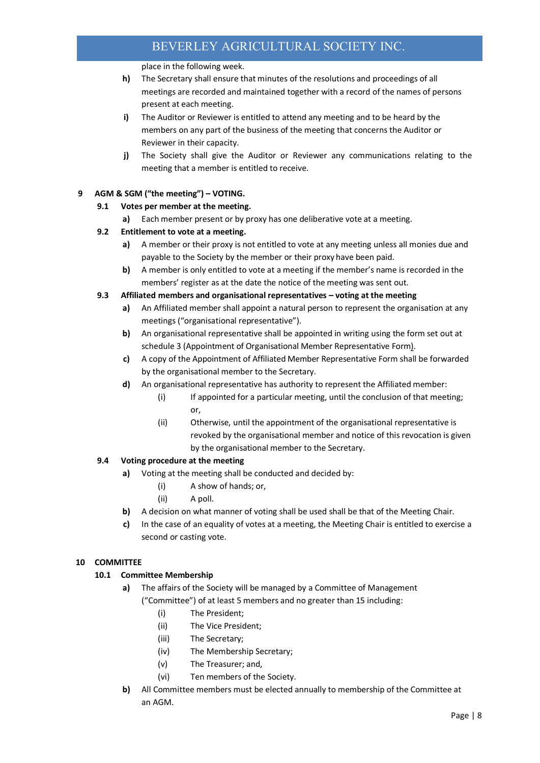place in the following week.

- **h)** The Secretary shall ensure that minutes of the resolutions and proceedings of all meetings are recorded and maintained together with a record of the names of persons present at each meeting.
- **i)** The Auditor or Reviewer is entitled to attend any meeting and to be heard by the members on any part of the business of the meeting that concerns the Auditor or Reviewer in their capacity.
- **j)** The Society shall give the Auditor or Reviewer any communications relating to the meeting that a member is entitled to receive.

# **9 AGM & SGM ("the meeting") – VOTING.**

# **9.1 Votes per member at the meeting.**

**a)** Each member present or by proxy has one deliberative vote at a meeting.

#### **9.2 Entitlement to vote at a meeting.**

- **a)** A member or their proxy is not entitled to vote at any meeting unless all monies due and payable to the Society by the member or their proxy have been paid.
- **b)** A member is only entitled to vote at a meeting if the member's name is recorded in the members' register as at the date the notice of the meeting was sent out.

#### **9.3 Affiliated members and organisational representatives – voting at the meeting**

- **a)** An Affiliated member shall appoint a natural person to represent the organisation at any meetings ("organisational representative").
- **b)** An organisational representative shall be appointed in writing using the form set out at schedule 3 (Appointment of Organisational Member Representative Form).
- **c)** A copy of the Appointment of Affiliated Member Representative Form shall be forwarded by the organisational member to the Secretary.
- **d)** An organisational representative has authority to represent the Affiliated member:
	- (i) If appointed for a particular meeting, until the conclusion of that meeting; or,
	- (ii) Otherwise, until the appointment of the organisational representative is revoked by the organisational member and notice of this revocation is given by the organisational member to the Secretary.

# **9.4 Voting procedure at the meeting**

- **a)** Voting at the meeting shall be conducted and decided by:
	- (i) A show of hands; or,
	- (ii) A poll.
- **b)** A decision on what manner of voting shall be used shall be that of the Meeting Chair.
- **c)** In the case of an equality of votes at a meeting, the Meeting Chair is entitled to exercise a second or casting vote.

#### **10 COMMITTEE**

#### **10.1 Committee Membership**

- **a)** The affairs of the Society will be managed by a Committee of Management ("Committee") of at least 5 members and no greater than 15 including:
	- (i) The President;
	- (ii) The Vice President;
	- (iii) The Secretary;
	- (iv) The Membership Secretary;
	- (v) The Treasurer; and,
	- (vi) Ten members of the Society.
- **b)** All Committee members must be elected annually to membership of the Committee at an AGM.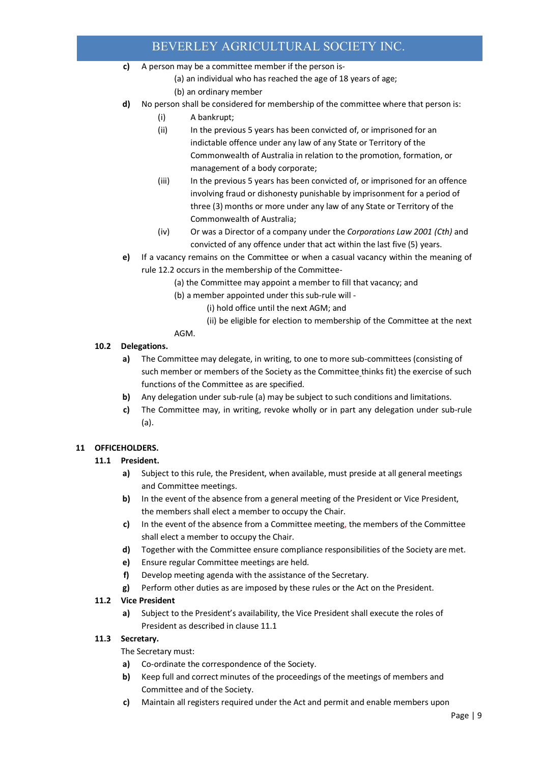- **c)** A person may be a committee member if the person is-
	- (a) an individual who has reached the age of 18 years of age;
	- (b) an ordinary member
- **d)** No person shall be considered for membership of the committee where that person is:
	- (i) A bankrupt;
	- (ii) In the previous 5 years has been convicted of, or imprisoned for an indictable offence under any law of any State or Territory of the Commonwealth of Australia in relation to the promotion, formation, or management of a body corporate;
	- (iii) In the previous 5 years has been convicted of, or imprisoned for an offence involving fraud or dishonesty punishable by imprisonment for a period of three (3) months or more under any law of any State or Territory of the Commonwealth of Australia;
	- (iv) Or was a Director of a company under the *Corporations Law 2001 (Cth)* and convicted of any offence under that act within the last five (5) years.
- **e)** If a vacancy remains on the Committee or when a casual vacancy within the meaning of rule 12.2 occurs in the membership of the Committee-
	- (a) the Committee may appoint a member to fill that vacancy; and
		- (b) a member appointed under this sub-rule will
			- (i) hold office until the next AGM; and
			- (ii) be eligible for election to membership of the Committee at the next

# AGM.

# **10.2 Delegations.**

- **a)** The Committee may delegate, in writing, to one to more sub-committees (consisting of such member or members of the Society as the Committee thinks fit) the exercise of such functions of the Committee as are specified.
- **b)** Any delegation under sub-rule (a) may be subject to such conditions and limitations.
- **c)** The Committee may, in writing, revoke wholly or in part any delegation under sub-rule (a).

# **11 OFFICEHOLDERS.**

# **11.1 President.**

- **a)** Subject to this rule, the President, when available, must preside at all general meetings and Committee meetings.
- **b)** In the event of the absence from a general meeting of the President or Vice President, the members shall elect a member to occupy the Chair.
- **c)** In the event of the absence from a Committee meeting, the members of the Committee shall elect a member to occupy the Chair.
- **d)** Together with the Committee ensure compliance responsibilities of the Society are met.
- **e)** Ensure regular Committee meetings are held.
- **f)** Develop meeting agenda with the assistance of the Secretary.
- **g)** Perform other duties as are imposed by these rules or the Act on the President.

# **11.2 Vice President**

**a)** Subject to the President's availability, the Vice President shall execute the roles of President as described in clause 11.1

# **11.3 Secretary.**

The Secretary must:

- **a)** Co-ordinate the correspondence of the Society.
- **b)** Keep full and correct minutes of the proceedings of the meetings of members and Committee and of the Society.
- **c)** Maintain all registers required under the Act and permit and enable members upon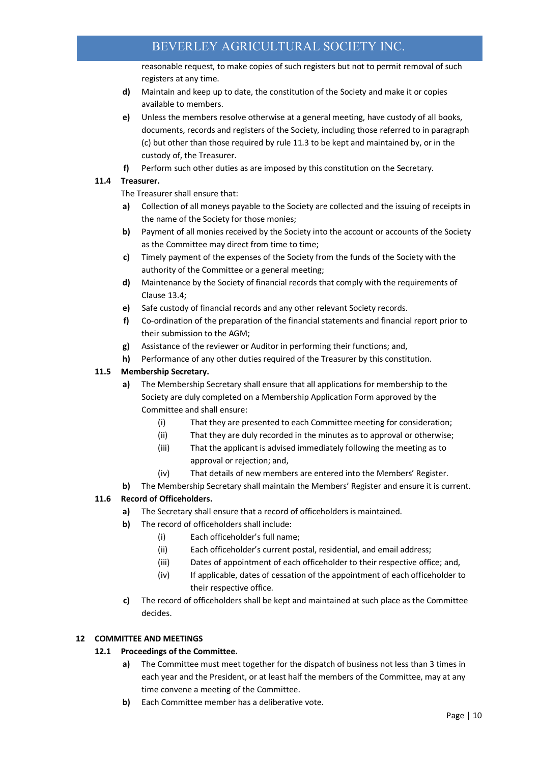reasonable request, to make copies of such registers but not to permit removal of such registers at any time.

- **d)** Maintain and keep up to date, the constitution of the Society and make it or copies available to members.
- **e)** Unless the members resolve otherwise at a general meeting, have custody of all books, documents, records and registers of the Society, including those referred to in paragraph (c) but other than those required by rule 11.3 to be kept and maintained by, or in the custody of, the Treasurer.
- **f)** Perform such other duties as are imposed by this constitution on the Secretary.

# **11.4 Treasurer.**

The Treasurer shall ensure that:

- **a)** Collection of all moneys payable to the Society are collected and the issuing of receipts in the name of the Society for those monies;
- **b)** Payment of all monies received by the Society into the account or accounts of the Society as the Committee may direct from time to time;
- **c)** Timely payment of the expenses of the Society from the funds of the Society with the authority of the Committee or a general meeting;
- **d)** Maintenance by the Society of financial records that comply with the requirements of Clause 13.4;
- **e)** Safe custody of financial records and any other relevant Society records.
- **f)** Co-ordination of the preparation of the financial statements and financial report prior to their submission to the AGM;
- **g)** Assistance of the reviewer or Auditor in performing their functions; and,
- **h)** Performance of any other duties required of the Treasurer by this constitution.

# **11.5 Membership Secretary.**

- **a)** The Membership Secretary shall ensure that all applications for membership to the Society are duly completed on a Membership Application Form approved by the Committee and shall ensure:
	- (i) That they are presented to each Committee meeting for consideration;
	- (ii) That they are duly recorded in the minutes as to approval or otherwise;
	- (iii) That the applicant is advised immediately following the meeting as to approval or rejection; and,
	- (iv) That details of new members are entered into the Members' Register.
- **b)** The Membership Secretary shall maintain the Members' Register and ensure it is current.

# **11.6 Record of Officeholders.**

- **a)** The Secretary shall ensure that a record of officeholders is maintained.
- **b)** The record of officeholders shall include:
	- (i) Each officeholder's full name;
	- (ii) Each officeholder's current postal, residential, and email address;
	- (iii) Dates of appointment of each officeholder to their respective office; and,
	- (iv) If applicable, dates of cessation of the appointment of each officeholder to their respective office.
- **c)** The record of officeholders shall be kept and maintained at such place as the Committee decides.

# **12 COMMITTEE AND MEETINGS**

# **12.1 Proceedings of the Committee.**

- **a)** The Committee must meet together for the dispatch of business not less than 3 times in each year and the President, or at least half the members of the Committee, may at any time convene a meeting of the Committee.
- **b)** Each Committee member has a deliberative vote.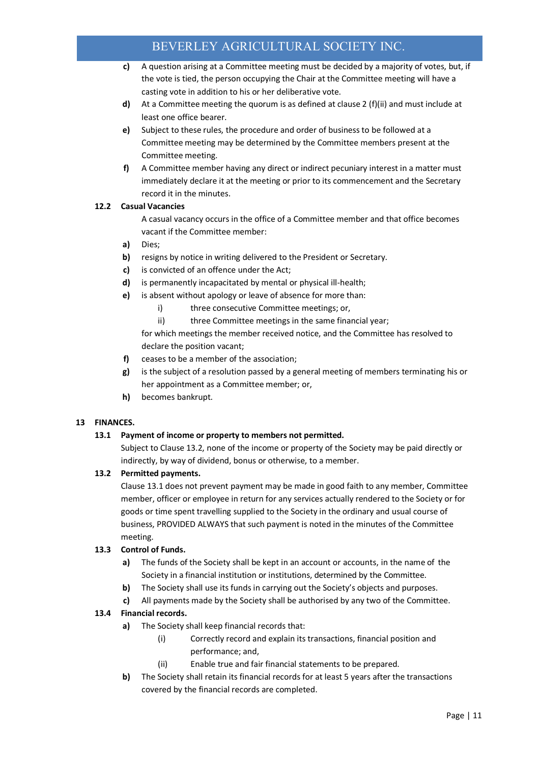- **c)** A question arising at a Committee meeting must be decided by a majority of votes, but, if the vote is tied, the person occupying the Chair at the Committee meeting will have a casting vote in addition to his or her deliberative vote.
- **d)** At a Committee meeting the quorum is as defined at clause 2 (f)(ii) and must include at least one office bearer.
- **e)** Subject to these rules, the procedure and order of business to be followed at a Committee meeting may be determined by the Committee members present at the Committee meeting.
- **f)** A Committee member having any direct or indirect pecuniary interest in a matter must immediately declare it at the meeting or prior to its commencement and the Secretary record it in the minutes.

# **12.2 Casual Vacancies**

A casual vacancy occurs in the office of a Committee member and that office becomes vacant if the Committee member:

- **a)** Dies;
- **b)** resigns by notice in writing delivered to the President or Secretary.
- **c)** is convicted of an offence under the Act;
- **d)** is permanently incapacitated by mental or physical ill-health;
- **e)** is absent without apology or leave of absence for more than:
	- i) three consecutive Committee meetings; or,
	- ii) three Committee meetings in the same financial year;

for which meetings the member received notice, and the Committee has resolved to declare the position vacant;

- **f)** ceases to be a member of the association;
- **g)** is the subject of a resolution passed by a general meeting of members terminating his or her appointment as a Committee member; or,
- **h)** becomes bankrupt.

#### **13 FINANCES.**

#### **13.1 Payment of income or property to members not permitted.**

Subject to Clause 13.2, none of the income or property of the Society may be paid directly or indirectly, by way of dividend, bonus or otherwise, to a member.

#### **13.2 Permitted payments.**

Clause 13.1 does not prevent payment may be made in good faith to any member, Committee member, officer or employee in return for any services actually rendered to the Society or for goods or time spent travelling supplied to the Society in the ordinary and usual course of business, PROVIDED ALWAYS that such payment is noted in the minutes of the Committee meeting.

#### **13.3 Control of Funds.**

- **a)** The funds of the Society shall be kept in an account or accounts, in the name of the Society in a financial institution or institutions, determined by the Committee.
- **b)** The Society shall use its funds in carrying out the Society's objects and purposes.
- **c)** All payments made by the Society shall be authorised by any two of the Committee.

#### **13.4 Financial records.**

- **a)** The Society shall keep financial records that:
	- (i) Correctly record and explain its transactions, financial position and performance; and,
	- (ii) Enable true and fair financial statements to be prepared.
- **b)** The Society shall retain its financial records for at least 5 years after the transactions covered by the financial records are completed.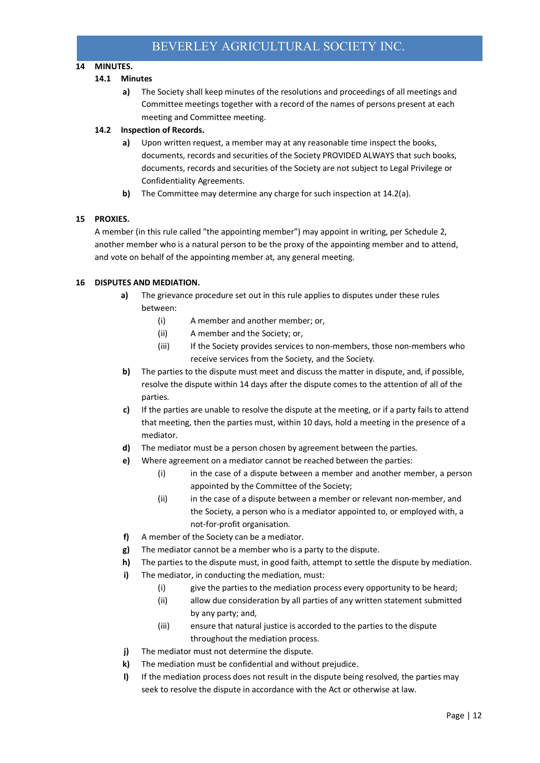# **14 MINUTES.**

#### **14.1 Minutes**

**a)** The Society shall keep minutes of the resolutions and proceedings of all meetings and Committee meetings together with a record of the names of persons present at each meeting and Committee meeting.

#### **14.2 Inspection of Records.**

- **a)** Upon written request, a member may at any reasonable time inspect the books, documents, records and securities of the Society PROVIDED ALWAYS that such books, documents, records and securities of the Society are not subject to Legal Privilege or Confidentiality Agreements.
- **b)** The Committee may determine any charge for such inspection at 14.2(a).

#### **15 PROXIES.**

A member (in this rule called "the appointing member") may appoint in writing, per Schedule 2, another member who is a natural person to be the proxy of the appointing member and to attend, and vote on behalf of the appointing member at, any general meeting.

#### **16 DISPUTES AND MEDIATION.**

- **a)** The grievance procedure set out in this rule applies to disputes under these rules between:
	- (i) A member and another member; or,
	- (ii) A member and the Society; or,
	- (iii) If the Society provides services to non-members, those non-members who receive services from the Society, and the Society.
- **b)** The parties to the dispute must meet and discuss the matter in dispute, and, if possible, resolve the dispute within 14 days after the dispute comes to the attention of all of the parties.
- **c)** If the parties are unable to resolve the dispute at the meeting, or if a party fails to attend that meeting, then the parties must, within 10 days, hold a meeting in the presence of a mediator.
- **d)** The mediator must be a person chosen by agreement between the parties.
- **e)** Where agreement on a mediator cannot be reached between the parties:
	- (i) in the case of a dispute between a member and another member, a person appointed by the Committee of the Society;
	- (ii) in the case of a dispute between a member or relevant non-member, and the Society, a person who is a mediator appointed to, or employed with, a not-for-profit organisation.
- **f)** A member of the Society can be a mediator.
- **g)** The mediator cannot be a member who is a party to the dispute.
- **h)** The parties to the dispute must, in good faith, attempt to settle the dispute by mediation.
- **i)** The mediator, in conducting the mediation, must:
	- (i) give the parties to the mediation process every opportunity to be heard;
	- (ii) allow due consideration by all parties of any written statement submitted by any party; and,
	- (iii) ensure that natural justice is accorded to the parties to the dispute throughout the mediation process.
- **j)** The mediator must not determine the dispute.
- **k)** The mediation must be confidential and without prejudice.
- **l)** If the mediation process does not result in the dispute being resolved, the parties may seek to resolve the dispute in accordance with the Act or otherwise at law.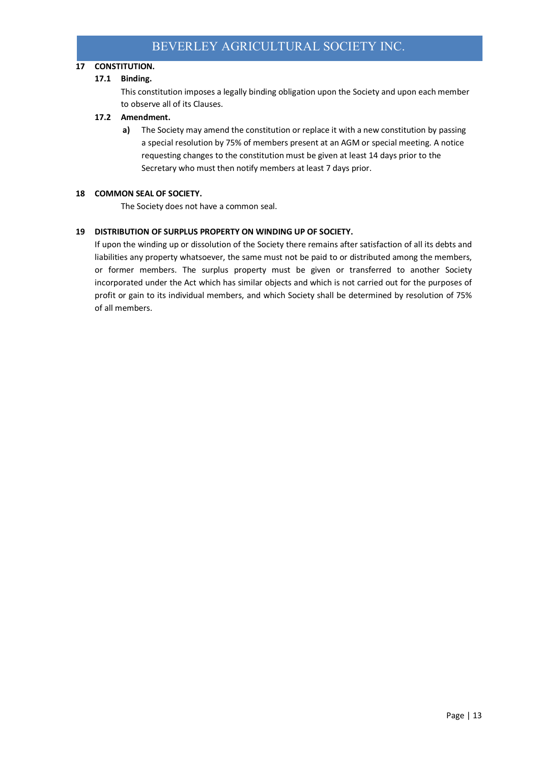# **17 CONSTITUTION.**

#### **17.1 Binding.**

This constitution imposes a legally binding obligation upon the Society and upon each member to observe all of its Clauses.

#### **17.2 Amendment.**

**a)** The Society may amend the constitution or replace it with a new constitution by passing a special resolution by 75% of members present at an AGM or special meeting. A notice requesting changes to the constitution must be given at least 14 days prior to the Secretary who must then notify members at least 7 days prior.

#### **18 COMMON SEAL OF SOCIETY.**

The Society does not have a common seal.

#### **19 DISTRIBUTION OF SURPLUS PROPERTY ON WINDING UP OF SOCIETY.**

If upon the winding up or dissolution of the Society there remains after satisfaction of all its debts and liabilities any property whatsoever, the same must not be paid to or distributed among the members, or former members. The surplus property must be given or transferred to another Society incorporated under the Act which has similar objects and which is not carried out for the purposes of profit or gain to its individual members, and which Society shall be determined by resolution of 75% of all members.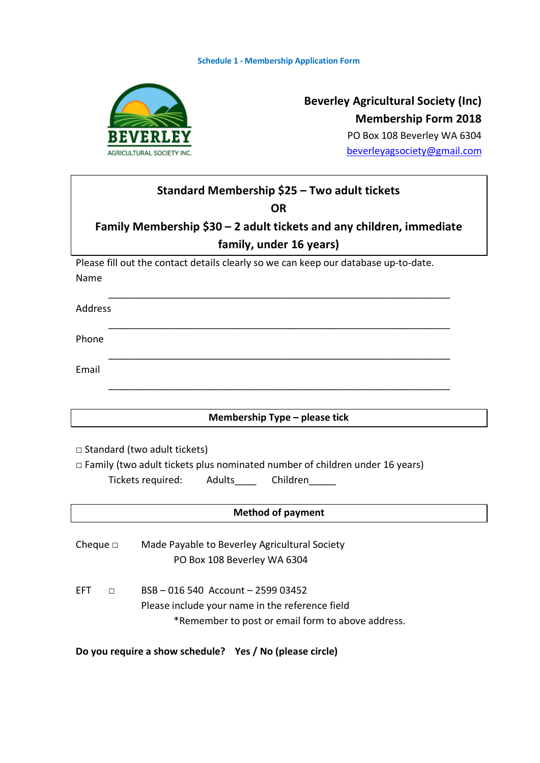

# **Beverley Agricultural Society (Inc) Membership Form 2018** PO Box 108 Beverley WA 6304

beverleyagsociety@gmail.com

| Standard Membership \$25 - Two adult tickets<br><b>OR</b>                                                                                                      |  |  |  |
|----------------------------------------------------------------------------------------------------------------------------------------------------------------|--|--|--|
| Family Membership \$30 – 2 adult tickets and any children, immediate<br>family, under 16 years)                                                                |  |  |  |
| Please fill out the contact details clearly so we can keep our database up-to-date.                                                                            |  |  |  |
| Name                                                                                                                                                           |  |  |  |
| Address                                                                                                                                                        |  |  |  |
| Phone                                                                                                                                                          |  |  |  |
| Email                                                                                                                                                          |  |  |  |
|                                                                                                                                                                |  |  |  |
| Membership Type - please tick                                                                                                                                  |  |  |  |
| $\Box$ Standard (two adult tickets)<br>$\Box$ Family (two adult tickets plus nominated number of children under 16 years)<br>Tickets required: Adults Children |  |  |  |
| <b>Method of payment</b>                                                                                                                                       |  |  |  |
| Made Payable to Beverley Agricultural Society<br>Cheque $\square$<br>PO Box 108 Beverley WA 6304                                                               |  |  |  |
| BSB-016 540 Account-2599 03452<br><b>EFT</b><br>П                                                                                                              |  |  |  |
| Please include your name in the reference field                                                                                                                |  |  |  |
| *Remember to post or email form to above address.                                                                                                              |  |  |  |
| Do you require a show schedule? Yes / No (please circle)                                                                                                       |  |  |  |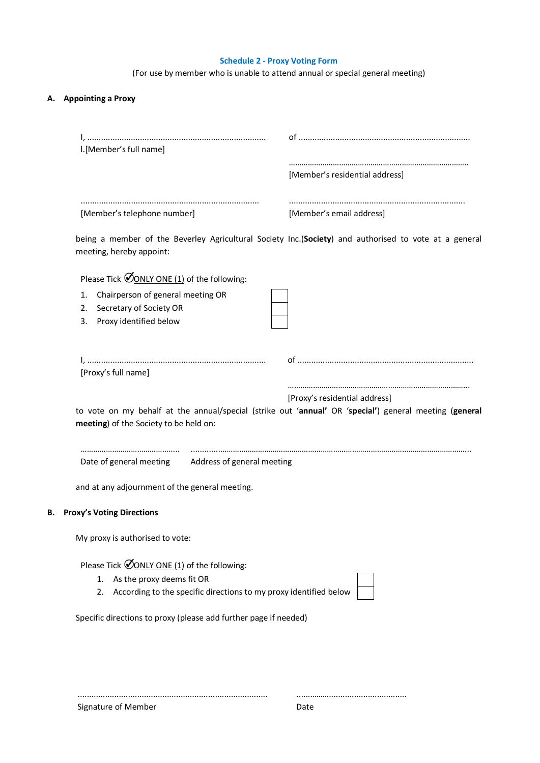# **Schedule 2 - Proxy Voting Form**

(For use by member who is unable to attend annual or special general meeting)

# **A. Appointing a Proxy**

| I.[Member's full name]                                                                                                                                                    | [Member's residential address] |
|---------------------------------------------------------------------------------------------------------------------------------------------------------------------------|--------------------------------|
|                                                                                                                                                                           |                                |
| [Member's telephone number]                                                                                                                                               | [Member's email address]       |
| being a member of the Beverley Agricultural Society Inc.(Society) and authorised to vote at a general<br>meeting, hereby appoint:                                         |                                |
| Please Tick ØONLY ONE (1) of the following:                                                                                                                               |                                |
| Chairperson of general meeting OR<br>1.<br>Secretary of Society OR<br>2.<br>Proxy identified below<br>3.                                                                  |                                |
| [Proxy's full name]                                                                                                                                                       |                                |
| to vote on my behalf at the annual/special (strike out 'annual' OR 'special') general meeting (general<br>meeting) of the Society to be held on:                          | [Proxy's residential address]  |
|                                                                                                                                                                           |                                |
| Date of general meeting<br>Address of general meeting                                                                                                                     |                                |
| and at any adjournment of the general meeting.                                                                                                                            |                                |
| <b>Proxy's Voting Directions</b><br>в.                                                                                                                                    |                                |
| My proxy is authorised to vote:                                                                                                                                           |                                |
| Please Tick $\mathcal{O}_{\text{ONLY ONE (1)}}$ of the following:<br>1. As the proxy deems fit OR<br>2. According to the specific directions to my proxy identified below |                                |
| Specific directions to proxy (please add further page if needed)                                                                                                          |                                |
|                                                                                                                                                                           |                                |

Signature of Member

...................................................................................

......………..................................